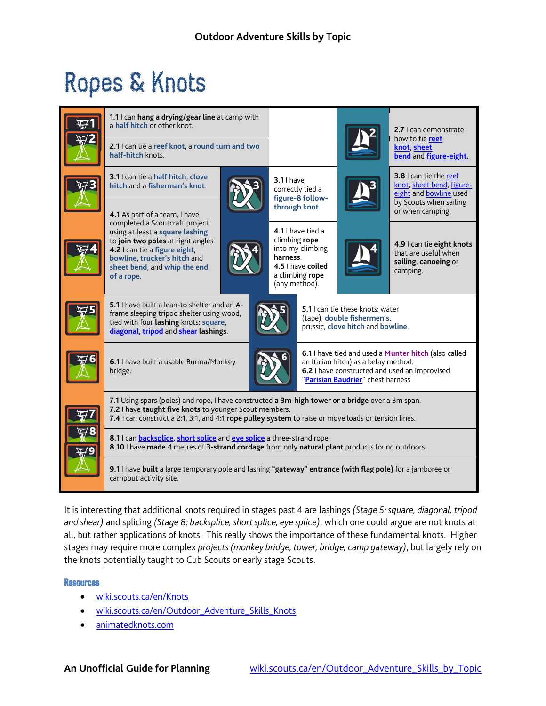## Ropes & Knots

|  | 1.1 I can hang a drying/gear line at camp with<br>a half hitch or other knot.                                                                                                                                                                                     |                                                                      |                                                                                                                                                                                           |  | 2.7 Lcan demonstrate                                                                                                        |
|--|-------------------------------------------------------------------------------------------------------------------------------------------------------------------------------------------------------------------------------------------------------------------|----------------------------------------------------------------------|-------------------------------------------------------------------------------------------------------------------------------------------------------------------------------------------|--|-----------------------------------------------------------------------------------------------------------------------------|
|  | 2.1 I can tie a reef knot, a round turn and two<br>half-hitch knots.                                                                                                                                                                                              |                                                                      |                                                                                                                                                                                           |  | how to tie reef<br>knot sheet<br>bend and figure-eight.                                                                     |
|  | 3.1 I can tie a half hitch, clove<br>hitch and a fisherman's knot.                                                                                                                                                                                                | $3.11$ have<br>correctly tied a<br>figure-8 follow-<br>through knot. |                                                                                                                                                                                           |  | 3.8 I can tie the reef<br>knot, sheet bend, figure-<br>eight and bowline used<br>by Scouts when sailing<br>or when camping. |
|  | 4.1 As part of a team, I have                                                                                                                                                                                                                                     |                                                                      |                                                                                                                                                                                           |  |                                                                                                                             |
|  | completed a Scoutcraft project<br>using at least a square lashing<br>to join two poles at right angles.<br>4.2 I can tie a figure eight,<br>bowline, trucker's hitch and<br>sheet bend, and whip the end<br>of a rope.                                            | climbing rope<br>harness.<br>(any method).                           | 4.1 I have tied a<br>into my climbing<br>4.5   have coiled<br>a climbing rope                                                                                                             |  | 4.9 I can tie eight knots<br>that are useful when<br>sailing, canoeing or<br>camping.                                       |
|  | 5.1 I have built a lean-to shelter and an A-<br>frame sleeping tripod shelter using wood,<br>tied with four lashing knots: square,<br>diagonal, tripod and shear lashings.                                                                                        |                                                                      | 5.1   can tie these knots: water<br>(tape), double fishermen's,<br>prussic, clove hitch and bowline.                                                                                      |  |                                                                                                                             |
|  | 6.1 I have built a usable Burma/Monkey<br>bridge.                                                                                                                                                                                                                 |                                                                      | 6.1 I have tied and used a <b>Munter hitch</b> (also called<br>an Italian hitch) as a belay method.<br>6.2 I have constructed and used an improvised<br>"Parisian Baudrier" chest harness |  |                                                                                                                             |
|  | 7.1 Using spars (poles) and rope, I have constructed a 3m-high tower or a bridge over a 3m span.<br>7.2 I have taught five knots to younger Scout members.<br>7.4 I can construct a 2:1, 3:1, and 4:1 rope pulley system to raise or move loads or tension lines. |                                                                      |                                                                                                                                                                                           |  |                                                                                                                             |
|  | 8.1 I can <b>backsplice</b> , short splice and eye splice a three-strand rope.<br>8.10 I have made 4 metres of 3-strand cordage from only natural plant products found outdoors.                                                                                  |                                                                      |                                                                                                                                                                                           |  |                                                                                                                             |
|  | 9.1 I have built a large temporary pole and lashing "gateway" entrance (with flag pole) for a jamboree or<br>campout activity site.                                                                                                                               |                                                                      |                                                                                                                                                                                           |  |                                                                                                                             |

It is interesting that additional knots required in stages past 4 are lashings *(Stage 5: square, diagonal, tripod and shear)* and splicing *(Stage 8: backsplice, short splice, eye splice)*, which one could argue are not knots at all, but rather applications of knots. This really shows the importance of these fundamental knots. Higher stages may require more complex *projects (monkey bridge, tower, bridge, camp gateway)*, but largely rely on the knots potentially taught to Cub Scouts or early stage Scouts.

## Resources

- [wiki.scouts.ca/en/Knots](http://wiki.scouts.ca/en/Knots)
- [wiki.scouts.ca/en/Outdoor\\_Adventure\\_Skills\\_Knots](http://wiki.scouts.ca/en/Outdoor_Adventure_Skills_Knots)
- [animatedknots.com](http://www.animatedknots.com/truckers/index.php)